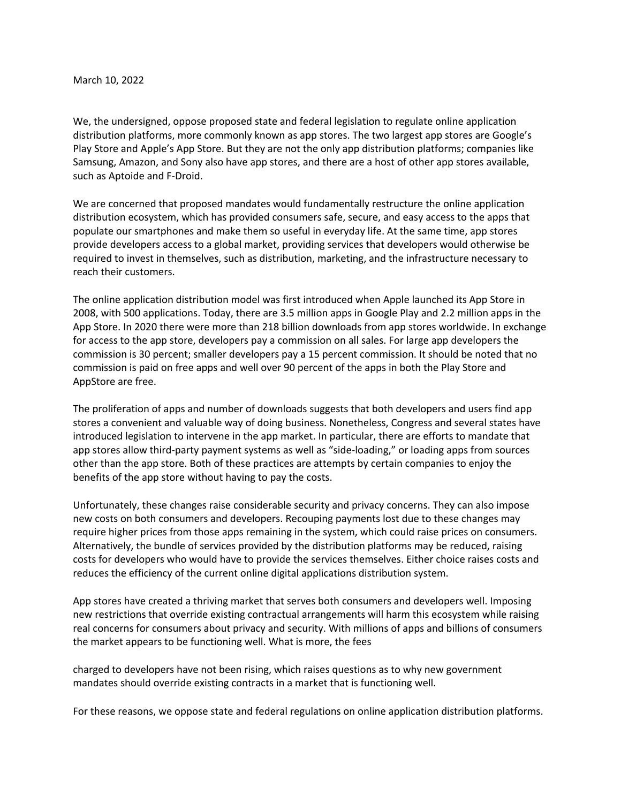## March 10, 2022

We, the undersigned, oppose proposed state and federal legislation to regulate online application distribution platforms, more commonly known as app stores. The two largest app stores are Google's Play Store and Apple's App Store. But they are not the only app distribution platforms; companies like Samsung, Amazon, and Sony also have app stores, and there are a host of other app stores available, such as Aptoide and F-Droid.

We are concerned that proposed mandates would fundamentally restructure the online application distribution ecosystem, which has provided consumers safe, secure, and easy access to the apps that populate our smartphones and make them so useful in everyday life. At the same time, app stores provide developers access to a global market, providing services that developers would otherwise be required to invest in themselves, such as distribution, marketing, and the infrastructure necessary to reach their customers.

The online application distribution model was first introduced when Apple launched its App Store in 2008, with 500 applications. Today, there are 3.5 million apps in Google Play and 2.2 million apps in the App Store. In 2020 there were more than 218 billion downloads from app stores worldwide. In exchange for access to the app store, developers pay a commission on all sales. For large app developers the commission is 30 percent; smaller developers pay a 15 percent commission. It should be noted that no commission is paid on free apps and well over 90 percent of the apps in both the Play Store and AppStore are free.

The proliferation of apps and number of downloads suggests that both developers and users find app stores a convenient and valuable way of doing business. Nonetheless, Congress and several states have introduced legislation to intervene in the app market. In particular, there are efforts to mandate that app stores allow third-party payment systems as well as "side-loading," or loading apps from sources other than the app store. Both of these practices are attempts by certain companies to enjoy the benefits of the app store without having to pay the costs.

Unfortunately, these changes raise considerable security and privacy concerns. They can also impose new costs on both consumers and developers. Recouping payments lost due to these changes may require higher prices from those apps remaining in the system, which could raise prices on consumers. Alternatively, the bundle of services provided by the distribution platforms may be reduced, raising costs for developers who would have to provide the services themselves. Either choice raises costs and reduces the efficiency of the current online digital applications distribution system.

App stores have created a thriving market that serves both consumers and developers well. Imposing new restrictions that override existing contractual arrangements will harm this ecosystem while raising real concerns for consumers about privacy and security. With millions of apps and billions of consumers the market appears to be functioning well. What is more, the fees

charged to developers have not been rising, which raises questions as to why new government mandates should override existing contracts in a market that is functioning well.

For these reasons, we oppose state and federal regulations on online application distribution platforms.